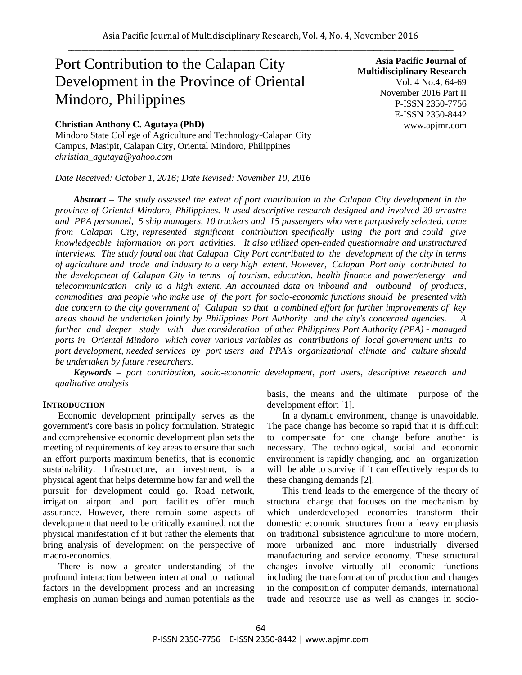# Port Contribution to the Calapan City Development in the Province of Oriental Mindoro, Philippines

## **Christian Anthony C. Agutaya (PhD)**

Mindoro State College of Agriculture and Technology-Calapan City Campus, Masipit, Calapan City, Oriental Mindoro, Philippines *christian\_agutaya@yahoo.com*

*Date Received: October 1, 2016; Date Revised: November 10, 2016*

**Asia Pacific Journal of Multidisciplinary Research** Vol. 4 No.4, 64-69 November 2016 Part II P-ISSN 2350-7756 E-ISSN 2350-8442 www.apjmr.com

*Abstract – The study assessed the extent of port contribution to the Calapan City development in the province of Oriental Mindoro, Philippines. It used descriptive research designed and involved 20 arrastre and PPA personnel, 5 ship managers, 10 truckers and 15 passengers who were purposively selected, came from Calapan City, represented significant contribution specifically using the port and could give knowledgeable information on port activities. It also utilized open-ended questionnaire and unstructured interviews. The study found out that Calapan City Port contributed to the development of the city in terms of agriculture and trade and industry to a very high extent. However, Calapan Port only contributed to the development of Calapan City in terms of tourism, education, health finance and power/energy and telecommunication only to a high extent. An accounted data on inbound and outbound of products, commodities and people who make use of the port for socio-economic functions should be presented with due concern to the city government of Calapan so that a combined effort for further improvements of key areas should be undertaken jointly by Philippines Port Authority and the city's concerned agencies. A further and deeper study with due consideration of other Philippines Port Authority (PPA) - managed ports in Oriental Mindoro which cover various variables as contributions of local government units to port development, needed services by port users and PPA's organizational climate and culture should be undertaken by future researchers.*

*Keywords – port contribution, socio-economic development, port users, descriptive research and qualitative analysis*

#### **INTRODUCTION**

Economic development principally serves as the government's core basis in policy formulation. Strategic and comprehensive economic development plan sets the meeting of requirements of key areas to ensure that such an effort purports maximum benefits, that is economic sustainability. Infrastructure, an investment, is a physical agent that helps determine how far and well the pursuit for development could go. Road network, irrigation airport and port facilities offer much assurance. However, there remain some aspects of development that need to be critically examined, not the physical manifestation of it but rather the elements that bring analysis of development on the perspective of macro-economics.

There is now a greater understanding of the profound interaction between international to national factors in the development process and an increasing emphasis on human beings and human potentials as the basis, the means and the ultimate purpose of the development effort [1].

In a dynamic environment, change is unavoidable. The pace change has become so rapid that it is difficult to compensate for one change before another is necessary. The technological, social and economic environment is rapidly changing, and an organization will be able to survive if it can effectively responds to these changing demands [2].

This trend leads to the emergence of the theory of structural change that focuses on the mechanism by which underdeveloped economies transform their domestic economic structures from a heavy emphasis on traditional subsistence agriculture to more modern, more urbanized and more industrially diversed manufacturing and service economy. These structural changes involve virtually all economic functions including the transformation of production and changes in the composition of computer demands, international trade and resource use as well as changes in socio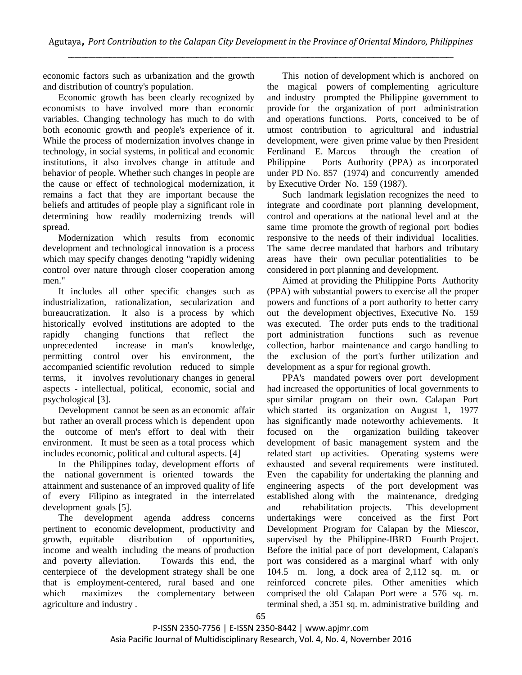economic factors such as urbanization and the growth and distribution of country's population.

Economic growth has been clearly recognized by economists to have involved more than economic variables. Changing technology has much to do with both economic growth and people's experience of it. While the process of modernization involves change in technology, in social systems, in political and economic institutions, it also involves change in attitude and behavior of people. Whether such changes in people are the cause or effect of technological modernization, it remains a fact that they are important because the beliefs and attitudes of people play a significant role in determining how readily modernizing trends will spread.

Modernization which results from economic development and technological innovation is a process which may specify changes denoting "rapidly widening control over nature through closer cooperation among men."

It includes all other specific changes such as industrialization, rationalization, secularization and bureaucratization. It also is a process by which historically evolved institutions are adopted to the rapidly changing functions that reflect the unprecedented increase in man's knowledge, permitting control over his environment, the accompanied scientific revolution reduced to simple terms, it involves revolutionary changes in general aspects - intellectual, political, economic, social and psychological [3].

Development cannot be seen as an economic affair but rather an overall process which is dependent upon the outcome of men's effort to deal with their environment. It must be seen as a total process which includes economic, political and cultural aspects. [4]

In the Philippines today, development efforts of the national government is oriented towards the attainment and sustenance of an improved quality of life of every Filipino as integrated in the interrelated development goals [5].

The development agenda address concerns pertinent to economic development, productivity and growth, equitable distribution of opportunities, income and wealth including the means of production and poverty alleviation. Towards this end, the centerpiece of the development strategy shall be one that is employment-centered, rural based and one which maximizes the complementary between agriculture and industry .

This notion of development which is anchored on the magical powers of complementing agriculture and industry prompted the Philippine government to provide for the organization of port administration and operations functions. Ports, conceived to be of utmost contribution to agricultural and industrial development, were given prime value by then President Ferdinand E. Marcos through the creation of Philippine Ports Authority (PPA) as incorporated under PD No. 857 (1974) and concurrently amended by Executive Order No. 159 (1987).

Such landmark legislation recognizes the need to integrate and coordinate port planning development, control and operations at the national level and at the same time promote the growth of regional port bodies responsive to the needs of their individual localities. The same decree mandated that harbors and tributary areas have their own peculiar potentialities to be considered in port planning and development.

Aimed at providing the Philippine Ports Authority (PPA) with substantial powers to exercise all the proper powers and functions of a port authority to better carry out the development objectives, Executive No. 159 was executed. The order puts ends to the traditional port administration functions such as revenue collection, harbor maintenance and cargo handling to the exclusion of the port's further utilization and development as a spur for regional growth.

PPA's mandated powers over port development had increased the opportunities of local governments to spur similar program on their own. Calapan Port which started its organization on August 1, 1977 has significantly made noteworthy achievements. It focused on the organization building takeover development of basic management system and the related start up activities. Operating systems were exhausted and several requirements were instituted. Even the capability for undertaking the planning and engineering aspects of the port development was established along with the maintenance, dredging and rehabilitation projects. This development undertakings were conceived as the first Port Development Program for Calapan by the Miescor, supervised by the Philippine-IBRD Fourth Project. Before the initial pace of port development, Calapan's port was considered as a marginal wharf with only 104.5 m. long, a dock area of 2,112 sq. m. or reinforced concrete piles. Other amenities which comprised the old Calapan Port were a 576 sq. m. terminal shed, a 351 sq. m. administrative building and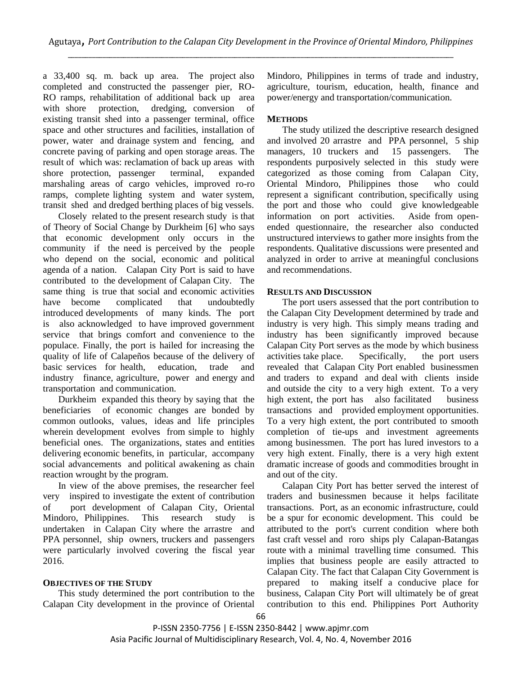a 33,400 sq. m. back up area. The project also completed and constructed the passenger pier, RO-RO ramps, rehabilitation of additional back up area with shore protection, dredging, conversion of existing transit shed into a passenger terminal, office space and other structures and facilities, installation of power, water and drainage system and fencing, and concrete paving of parking and open storage areas. The result of which was: reclamation of back up areas with shore protection, passenger terminal, expanded marshaling areas of cargo vehicles, improved ro-ro ramps, complete lighting system and water system, transit shed and dredged berthing places of big vessels.

Closely related to the present research study is that of Theory of Social Change by Durkheim [6] who says that economic development only occurs in the community if the need is perceived by the people who depend on the social, economic and political agenda of a nation. Calapan City Port is said to have contributed to the development of Calapan City. The same thing is true that social and economic activities have become complicated that undoubtedly introduced developments of many kinds. The port is also acknowledged to have improved government service that brings comfort and convenience to the populace. Finally, the port is hailed for increasing the quality of life of Calapeños because of the delivery of basic services for health, education, trade and industry finance, agriculture, power and energy and transportation and communication.

Durkheim expanded this theory by saying that the beneficiaries of economic changes are bonded by common outlooks, values, ideas and life principles wherein development evolves from simple to highly beneficial ones. The organizations, states and entities delivering economic benefits, in particular, accompany social advancements and political awakening as chain reaction wrought by the program.

In view of the above premises, the researcher feel very inspired to investigate the extent of contribution of port development of Calapan City, Oriental Mindoro, Philippines. This research study is undertaken in Calapan City where the arrastre and PPA personnel, ship owners, truckers and passengers were particularly involved covering the fiscal year 2016.

## **OBJECTIVES OF THE STUDY**

This study determined the port contribution to the Calapan City development in the province of Oriental Mindoro, Philippines in terms of trade and industry, agriculture, tourism, education, health, finance and power/energy and transportation/communication.

## **METHODS**

The study utilized the descriptive research designed and involved 20 arrastre and PPA personnel, 5 ship managers, 10 truckers and 15 passengers. The respondents purposively selected in this study were categorized as those coming from Calapan City, Oriental Mindoro, Philippines those who could represent a significant contribution, specifically using the port and those who could give knowledgeable information on port activities. Aside from openended questionnaire, the researcher also conducted unstructured interviews to gather more insights from the respondents. Qualitative discussions were presented and analyzed in order to arrive at meaningful conclusions and recommendations.

#### **RESULTS AND DISCUSSION**

The port users assessed that the port contribution to the Calapan City Development determined by trade and industry is very high. This simply means trading and industry has been significantly improved because Calapan City Port serves as the mode by which business activities take place. Specifically, the port users revealed that Calapan City Port enabled businessmen and traders to expand and deal with clients inside and outside the city to a very high extent. To a very high extent, the port has also facilitated business transactions and provided employment opportunities. To a very high extent, the port contributed to smooth completion of tie-ups and investment agreements among businessmen. The port has lured investors to a very high extent. Finally, there is a very high extent dramatic increase of goods and commodities brought in and out of the city.

Calapan City Port has better served the interest of traders and businessmen because it helps facilitate transactions. Port, as an economic infrastructure, could be a spur for economic development. This could be attributed to the port's current condition where both fast craft vessel and roro ships ply Calapan-Batangas route with a minimal travelling time consumed. This implies that business people are easily attracted to Calapan City. The fact that Calapan City Government is prepared to making itself a conducive place for business, Calapan City Port will ultimately be of great contribution to this end. Philippines Port Authority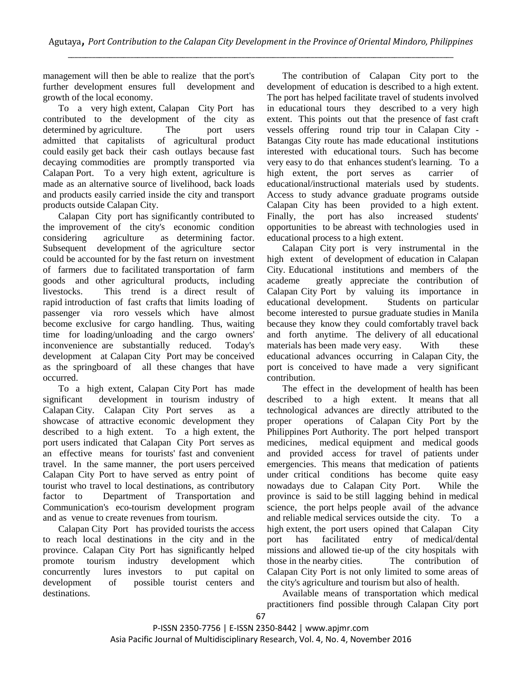management will then be able to realize that the port's further development ensures full development and growth of the local economy.

To a very high extent, Calapan City Port has contributed to the development of the city as determined by agriculture. The port users admitted that capitalists of agricultural product could easily get back their cash outlays because fast decaying commodities are promptly transported via Calapan Port. To a very high extent, agriculture is made as an alternative source of livelihood, back loads and products easily carried inside the city and transport products outside Calapan City.

Calapan City port has significantly contributed to the improvement of the city's economic condition considering agriculture as determining factor. Subsequent development of the agriculture sector could be accounted for by the fast return on investment of farmers due to facilitated transportation of farm goods and other agricultural products, including livestocks. This trend is a direct result of rapid introduction of fast crafts that limits loading of passenger via roro vessels which have almost become exclusive for cargo handling. Thus, waiting time for loading/unloading and the cargo owners' inconvenience are substantially reduced. Today's development at Calapan City Port may be conceived as the springboard of all these changes that have occurred.

To a high extent, Calapan City Port has made significant development in tourism industry of Calapan City. Calapan City Port serves as a showcase of attractive economic development they described to a high extent. To a high extent, the port users indicated that Calapan City Port serves as an effective means for tourists' fast and convenient travel. In the same manner, the port users perceived Calapan City Port to have served as entry point of tourist who travel to local destinations, as contributory factor to Department of Transportation and Communication's eco-tourism development program and as venue to create revenues from tourism.

Calapan City Port has provided tourists the access to reach local destinations in the city and in the province. Calapan City Port has significantly helped promote tourism industry development which concurrently lures investors to put capital on development of possible tourist centers and destinations.

The contribution of Calapan City port to the development of education is described to a high extent. The port has helped facilitate travel of students involved in educational tours they described to a very high extent. This points out that the presence of fast craft vessels offering round trip tour in Calapan City - Batangas City route has made educational institutions interested with educational tours. Such has become very easy to do that enhances student's learning. To a high extent, the port serves as carrier of educational/instructional materials used by students. Access to study advance graduate programs outside Calapan City has been provided to a high extent. Finally, the port has also increased students' opportunities to be abreast with technologies used in educational process to a high extent.

Calapan City port is very instrumental in the high extent of development of education in Calapan City. Educational institutions and members of the academe greatly appreciate the contribution of Calapan City Port by valuing its importance in educational development. Students on particular become interested to pursue graduate studies in Manila because they know they could comfortably travel back and forth anytime. The delivery of all educational materials has been made very easy. With these educational advances occurring in Calapan City, the port is conceived to have made a very significant contribution.

The effect in the development of health has been described to a high extent. It means that all technological advances are directly attributed to the proper operations of Calapan City Port by the Philippines Port Authority. The port helped transport medicines, medical equipment and medical goods and provided access for travel of patients under emergencies. This means that medication of patients under critical conditions has become quite easy nowadays due to Calapan City Port. While the province is said to be still lagging behind in medical science, the port helps people avail of the advance and reliable medical services outside the city. To a high extent, the port users opined that Calapan City port has facilitated entry of medical/dental missions and allowed tie-up of the city hospitals with those in the nearby cities. The contribution of Calapan City Port is not only limited to some areas of the city's agriculture and tourism but also of health.

Available means of transportation which medical practitioners find possible through Calapan City port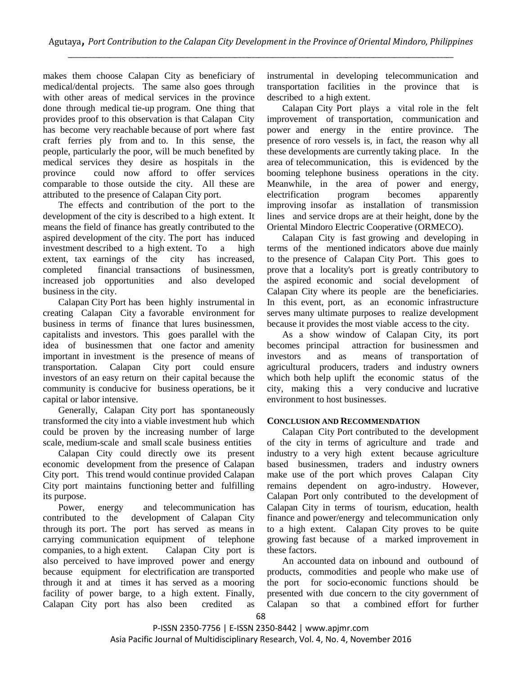makes them choose Calapan City as beneficiary of medical/dental projects. The same also goes through with other areas of medical services in the province done through medical tie-up program. One thing that provides proof to this observation is that Calapan City has become very reachable because of port where fast craft ferries ply from and to. In this sense, the people, particularly the poor, will be much benefited by medical services they desire as hospitals in the province could now afford to offer services comparable to those outside the city. All these are attributed to the presence of Calapan City port.

The effects and contribution of the port to the development of the city is described to a high extent. It means the field of finance has greatly contributed to the aspired development of the city. The port has induced investment described to a high extent. To a high extent, tax earnings of the city has increased, completed financial transactions of businessmen, increased job opportunities and also developed business in the city.

Calapan City Port has been highly instrumental in creating Calapan City a favorable environment for business in terms of finance that lures businessmen, capitalists and investors. This goes parallel with the idea of businessmen that one factor and amenity important in investment is the presence of means of transportation. Calapan City port could ensure investors of an easy return on their capital because the community is conducive for business operations, be it capital or labor intensive.

Generally, Calapan City port has spontaneously transformed the city into a viable investment hub which could be proven by the increasing number of large scale, medium-scale and small scale business entities

Calapan City could directly owe its present economic development from the presence of Calapan City port. This trend would continue provided Calapan City port maintains functioning better and fulfilling its purpose.

Power, energy and telecommunication has contributed to the development of Calapan City through its port. The port has served as means in carrying communication equipment of telephone companies, to a high extent. Calapan City port is also perceived to have improved power and energy because equipment for electrification are transported through it and at times it has served as a mooring facility of power barge, to a high extent. Finally, Calapan City port has also been credited as

instrumental in developing telecommunication and transportation facilities in the province that is described to a high extent.

Calapan City Port plays a vital role in the felt improvement of transportation, communication and power and energy in the entire province. The presence of roro vessels is, in fact, the reason why all these developments are currently taking place. In the area of telecommunication, this is evidenced by the booming telephone business operations in the city. Meanwhile, in the area of power and energy, electrification program becomes apparently improving insofar as installation of transmission lines and service drops are at their height, done by the Oriental Mindoro Electric Cooperative (ORMECO).

Calapan City is fast growing and developing in terms of the mentioned indicators above due mainly to the presence of Calapan City Port. This goes to prove that a locality's port is greatly contributory to the aspired economic and social development of Calapan City where its people are the beneficiaries. In this event, port, as an economic infrastructure serves many ultimate purposes to realize development because it provides the most viable access to the city.

As a show window of Calapan City, its port becomes principal attraction for businessmen and investors and as means of transportation of agricultural producers, traders and industry owners which both help uplift the economic status of the city, making this a very conducive and lucrative environment to host businesses.

# **CONCLUSION AND RECOMMENDATION**

Calapan City Port contributed to the development of the city in terms of agriculture and trade and industry to a very high extent because agriculture based businessmen, traders and industry owners make use of the port which proves Calapan City remains dependent on agro-industry. However, Calapan Port only contributed to the development of Calapan City in terms of tourism, education, health finance and power/energy and telecommunication only to a high extent. Calapan City proves to be quite growing fast because of a marked improvement in these factors.

An accounted data on inbound and outbound of products, commodities and people who make use of the port for socio-economic functions should be presented with due concern to the city government of Calapan so that a combined effort for further